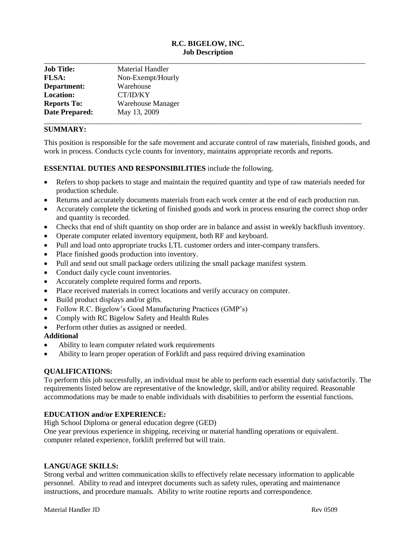# **R.C. BIGELOW, INC. Job Description**

| <b>Job Title:</b>     | Material Handler         |  |
|-----------------------|--------------------------|--|
| <b>FLSA:</b>          | Non-Exempt/Hourly        |  |
| Department:           | Warehouse                |  |
| <b>Location:</b>      | CT/ID/KY                 |  |
| <b>Reports To:</b>    | <b>Warehouse Manager</b> |  |
| <b>Date Prepared:</b> | May 13, 2009             |  |

## **SUMMARY:**

This position is responsible for the safe movement and accurate control of raw materials, finished goods, and work in process. Conducts cycle counts for inventory, maintains appropriate records and reports.

**ESSENTIAL DUTIES AND RESPONSIBILITIES** include the following.

- Refers to shop packets to stage and maintain the required quantity and type of raw materials needed for production schedule.
- Returns and accurately documents materials from each work center at the end of each production run.
- Accurately complete the ticketing of finished goods and work in process ensuring the correct shop order and quantity is recorded.
- Checks that end of shift quantity on shop order are in balance and assist in weekly backflush inventory.
- Operate computer related inventory equipment, both RF and keyboard.
- Pull and load onto appropriate trucks LTL customer orders and inter-company transfers.
- Place finished goods production into inventory.
- Pull and send out small package orders utilizing the small package manifest system.
- Conduct daily cycle count inventories.
- Accurately complete required forms and reports.
- Place received materials in correct locations and verify accuracy on computer.
- Build product displays and/or gifts.
- Follow R.C. Bigelow's Good Manufacturing Practices (GMP's)
- Comply with RC Bigelow Safety and Health Rules
- Perform other duties as assigned or needed.

### **Additional**

- Ability to learn computer related work requirements
- Ability to learn proper operation of Forklift and pass required driving examination

### **QUALIFICATIONS:**

To perform this job successfully, an individual must be able to perform each essential duty satisfactorily. The requirements listed below are representative of the knowledge, skill, and/or ability required. Reasonable accommodations may be made to enable individuals with disabilities to perform the essential functions.

## **EDUCATION and/or EXPERIENCE:**

High School Diploma or general education degree (GED) One year previous experience in shipping, receiving or material handling operations or equivalent. computer related experience, forklift preferred but will train.

### **LANGUAGE SKILLS:**

Strong verbal and written communication skills to effectively relate necessary information to applicable personnel. Ability to read and interpret documents such as safety rules, operating and maintenance instructions, and procedure manuals. Ability to write routine reports and correspondence.